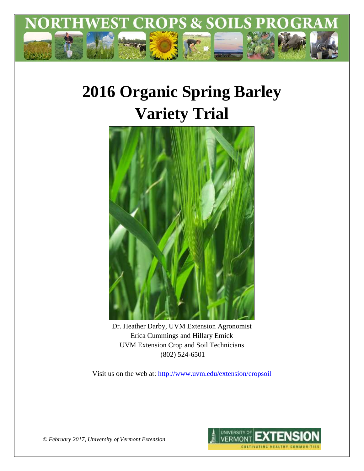

# **2016 Organic Spring Barley Variety Trial**



Dr. Heather Darby, UVM Extension Agronomist Erica Cummings and Hillary Emick UVM Extension Crop and Soil Technicians (802) 524-6501

Visit us on the web at:<http://www.uvm.edu/extension/cropsoil>



*© February 2017, University of Vermont Extension*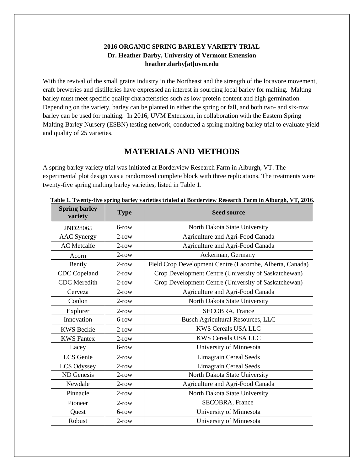## **2016 ORGANIC SPRING BARLEY VARIETY TRIAL Dr. Heather Darby, University of Vermont Extension heather.darby[at]uvm.edu**

With the revival of the small grains industry in the Northeast and the strength of the locavore movement, craft breweries and distilleries have expressed an interest in sourcing local barley for malting. Malting barley must meet specific quality characteristics such as low protein content and high germination. Depending on the variety, barley can be planted in either the spring or fall, and both two- and six-row barley can be used for malting. In 2016, UVM Extension, in collaboration with the Eastern Spring Malting Barley Nursery (ESBN) testing network, conducted a spring malting barley trial to evaluate yield and quality of 25 varieties.

# **MATERIALS AND METHODS**

A spring barley variety trial was initiated at Borderview Research Farm in Alburgh, VT. The experimental plot design was a randomized complete block with three replications. The treatments were twenty-five spring malting barley varieties, listed in Table 1.

| <b>Spring barley</b><br>variety | <b>Type</b> | <b>Seed source</b>                                       |  |
|---------------------------------|-------------|----------------------------------------------------------|--|
| 2ND28065                        | $6$ -row    | North Dakota State University                            |  |
| <b>AAC</b> Synergy              | $2$ -row    | Agriculture and Agri-Food Canada                         |  |
| <b>AC</b> Metcalfe              | $2$ -row    | Agriculture and Agri-Food Canada                         |  |
| Acorn                           | $2$ -row    | Ackerman, Germany                                        |  |
| Bently                          | $2$ -row    | Field Crop Development Centre (Lacombe, Alberta, Canada) |  |
| CDC Copeland                    | $2$ -row    | Crop Development Centre (University of Saskatchewan)     |  |
| <b>CDC</b> Meredith             | $2$ -row    | Crop Development Centre (University of Saskatchewan)     |  |
| Cerveza                         | $2$ -row    | Agriculture and Agri-Food Canada                         |  |
| Conlon                          | $2$ -row    | North Dakota State University                            |  |
| Explorer                        | $2$ -row    | <b>SECOBRA</b> , France                                  |  |
| Innovation                      | $6$ -row    | <b>Busch Agricultural Resources, LLC</b>                 |  |
| <b>KWS Beckie</b>               | $2$ -row    | <b>KWS Cereals USA LLC</b>                               |  |
| <b>KWS</b> Fantex               | $2$ -row    | <b>KWS Cereals USA LLC</b>                               |  |
| Lacey                           | $6$ -row    | University of Minnesota                                  |  |
| LCS Genie                       | $2$ -row    | <b>Limagrain Cereal Seeds</b>                            |  |
| LCS Odyssey                     | $2$ -row    | <b>Limagrain Cereal Seeds</b>                            |  |
| ND Genesis                      | $2$ -row    | North Dakota State University                            |  |
| Newdale                         | $2$ -row    | Agriculture and Agri-Food Canada                         |  |
| Pinnacle                        | $2$ -row    | North Dakota State University                            |  |
| Pioneer                         | $2$ -row    | <b>SECOBRA, France</b>                                   |  |
| Quest                           | 6-row       | University of Minnesota                                  |  |
| Robust                          | $2$ -row    | University of Minnesota                                  |  |

 **Table 1. Twenty-five spring barley varieties trialed at Borderview Research Farm in Alburgh, VT, 2016.**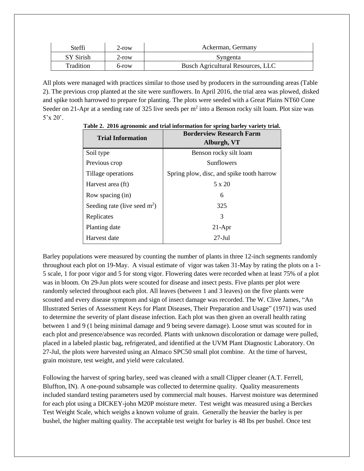| Steffi    | 2-row    | Ackerman, Germany                        |  |  |
|-----------|----------|------------------------------------------|--|--|
| SY Sirish | $2$ -row | Syngenta                                 |  |  |
| Tradition | 6-row    | <b>Busch Agricultural Resources, LLC</b> |  |  |

All plots were managed with practices similar to those used by producers in the surrounding areas (Table 2). The previous crop planted at the site were sunflowers. In April 2016, the trial area was plowed, disked and spike tooth harrowed to prepare for planting. The plots were seeded with a Great Plains NT60 Cone Seeder on 21-Apr at a seeding rate of 325 live seeds per  $m^2$  into a Benson rocky silt loam. Plot size was 5'x 20'.

| <b>Trial Information</b>       | <b>Borderview Research Farm</b><br>Alburgh, VT |  |  |  |
|--------------------------------|------------------------------------------------|--|--|--|
| Soil type                      | Benson rocky silt loam                         |  |  |  |
| Previous crop                  | <b>Sunflowers</b>                              |  |  |  |
| Tillage operations             | Spring plow, disc, and spike tooth harrow      |  |  |  |
| Harvest area (ft)              | 5 x 20                                         |  |  |  |
| Row spacing (in)               | 6                                              |  |  |  |
| Seeding rate (live seed $m2$ ) | 325                                            |  |  |  |
| Replicates                     | 3                                              |  |  |  |
| Planting date                  | $21-Apr$                                       |  |  |  |
| Harvest date                   | $27 -$ Jul                                     |  |  |  |

**Table 2. 2016 agronomic and trial information for spring barley variety trial.**

Barley populations were measured by counting the number of plants in three 12-inch segments randomly throughout each plot on 19-May. A visual estimate of vigor was taken 31-May by rating the plots on a 1- 5 scale, 1 for poor vigor and 5 for stong vigor. Flowering dates were recorded when at least 75% of a plot was in bloom. On 29-Jun plots were scouted for disease and insect pests. Five plants per plot were randomly selected throughout each plot. All leaves (between 1 and 3 leaves) on the five plants were scouted and every disease symptom and sign of insect damage was recorded. The W. Clive James, "An Illustrated Series of Assessment Keys for Plant Diseases, Their Preparation and Usage" (1971) was used to determine the severity of plant disease infection. Each plot was then given an overall health rating between 1 and 9 (1 being minimal damage and 9 being severe damage). Loose smut was scouted for in each plot and presence/absence was recorded. Plants with unknown discoloration or damage were pulled, placed in a labeled plastic bag, refrigerated, and identified at the UVM Plant Diagnostic Laboratory. On 27-Jul, the plots were harvested using an Almaco SPC50 small plot combine. At the time of harvest, grain moisture, test weight, and yield were calculated.

Following the harvest of spring barley, seed was cleaned with a small Clipper cleaner (A.T. Ferrell, Bluffton, IN). A one-pound subsample was collected to determine quality. Quality measurements included standard testing parameters used by commercial malt houses. Harvest moisture was determined for each plot using a DICKEY-john M20P moisture meter. Test weight was measured using a Berckes Test Weight Scale, which weighs a known volume of grain. Generally the heavier the barley is per bushel, the higher malting quality. The acceptable test weight for barley is 48 lbs per bushel. Once test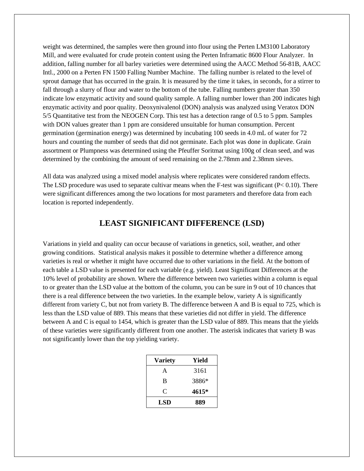weight was determined, the samples were then ground into flour using the Perten LM3100 Laboratory Mill, and were evaluated for crude protein content using the Perten Inframatic 8600 Flour Analyzer. In addition, falling number for all barley varieties were determined using the AACC Method 56-81B, AACC Intl., 2000 on a Perten FN 1500 Falling Number Machine. The falling number is related to the level of sprout damage that has occurred in the grain. It is measured by the time it takes, in seconds, for a stirrer to fall through a slurry of flour and water to the bottom of the tube. Falling numbers greater than 350 indicate low enzymatic activity and sound quality sample. A falling number lower than 200 indicates high enzymatic activity and poor quality. Deoxynivalenol (DON) analysis was analyzed using Veratox DON 5/5 Quantitative test from the NEOGEN Corp. This test has a detection range of 0.5 to 5 ppm. Samples with DON values greater than 1 ppm are considered unsuitable for human consumption. Percent germination (germination energy) was determined by incubating 100 seeds in 4.0 mL of water for 72 hours and counting the number of seeds that did not germinate. Each plot was done in duplicate. Grain assortment or Plumpness was determined using the Pfeuffer Soritmat using 100g of clean seed, and was determined by the combining the amount of seed remaining on the 2.78mm and 2.38mm sieves.

All data was analyzed using a mixed model analysis where replicates were considered random effects. The LSD procedure was used to separate cultivar means when the F-test was significant ( $P < 0.10$ ). There were significant differences among the two locations for most parameters and therefore data from each location is reported independently.

# **LEAST SIGNIFICANT DIFFERENCE (LSD)**

Variations in yield and quality can occur because of variations in genetics, soil, weather, and other growing conditions. Statistical analysis makes it possible to determine whether a difference among varieties is real or whether it might have occurred due to other variations in the field. At the bottom of each table a LSD value is presented for each variable (e.g. yield). Least Significant Differences at the 10% level of probability are shown. Where the difference between two varieties within a column is equal to or greater than the LSD value at the bottom of the column, you can be sure in 9 out of 10 chances that there is a real difference between the two varieties. In the example below, variety A is significantly different from variety C, but not from variety B. The difference between A and B is equal to 725, which is less than the LSD value of 889. This means that these varieties did not differ in yield. The difference between A and C is equal to 1454, which is greater than the LSD value of 889. This means that the yields of these varieties were significantly different from one another. The asterisk indicates that variety B was not significantly lower than the top yielding variety.

| <b>Variety</b> | Yield |
|----------------|-------|
| A              | 3161  |
| B              | 3886* |
| C              | 4615* |
| LSD            | 889   |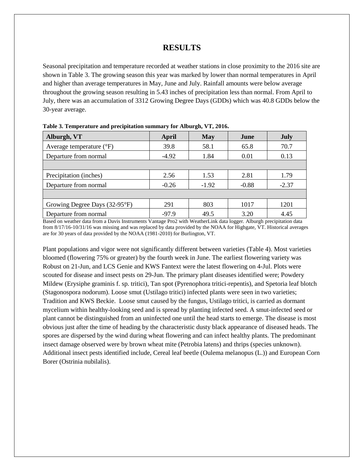## **RESULTS**

Seasonal precipitation and temperature recorded at weather stations in close proximity to the 2016 site are shown in Table 3. The growing season this year was marked by lower than normal temperatures in April and higher than average temperatures in May, June and July. Rainfall amounts were below average throughout the growing season resulting in 5.43 inches of precipitation less than normal. From April to July, there was an accumulation of 3312 Growing Degree Days (GDDs) which was 40.8 GDDs below the 30-year average.

| Alburgh, VT                       | April<br><b>May</b> |         | June    | <b>July</b> |  |
|-----------------------------------|---------------------|---------|---------|-------------|--|
| Average temperature $(^{\circ}F)$ | 39.8                | 58.1    | 65.8    | 70.7        |  |
| Departure from normal             | $-4.92$             | 1.84    | 0.01    | 0.13        |  |
|                                   |                     |         |         |             |  |
| Precipitation (inches)            | 2.56                | 1.53    | 2.81    | 1.79        |  |
| Departure from normal             | $-0.26$             | $-1.92$ | $-0.88$ | $-2.37$     |  |
|                                   |                     |         |         |             |  |
| Growing Degree Days (32-95°F)     | 291                 | 803     | 1017    | 1201        |  |
| Departure from normal             | $-97.9$             | 49.5    | 3.20    | 4.45        |  |

**Table 3. Temperature and precipitation summary for Alburgh, VT, 2016.**

Based on weather data from a Davis Instruments Vantage Pro2 with WeatherLink data logger. Alburgh precipitation data from 8/17/16-10/31/16 was missing and was replaced by data provided by the NOAA for Highgate, VT. Historical averages are for 30 years of data provided by the NOAA (1981-2010) for Burlington, VT.

Plant populations and vigor were not significantly different between varieties (Table 4). Most varieties bloomed (flowering 75% or greater) by the fourth week in June. The earliest flowering variety was Robust on 21-Jun, and LCS Genie and KWS Fantext were the latest flowering on 4-Jul. Plots were scouted for disease and insect pests on 29-Jun. The primary plant diseases identified were; Powdery Mildew (Erysiphe graminis f. sp. tritici), Tan spot (Pyrenophora tritici-repentis), and Spetoria leaf blotch (Stagonospora nodorum). Loose smut (Ustilago tritici) infected plants were seen in two varieties; Tradition and KWS Beckie. Loose smut caused by the fungus, Ustilago tritici, is carried as dormant mycelium within healthy-looking seed and is spread by planting infected seed. A smut-infected seed or plant cannot be distinguished from an uninfected one until the head starts to emerge. The disease is most obvious just after the time of heading by the characteristic dusty black appearance of diseased heads. The spores are dispersed by the wind during wheat flowering and can infect healthy plants. The predominant insect damage observed were by brown wheat mite (Petrobia latens) and thrips (species unknown). Additional insect pests identified include, Cereal leaf beetle (Oulema melanopus (L.)) and European Corn Borer (Ostrinia nubilalis).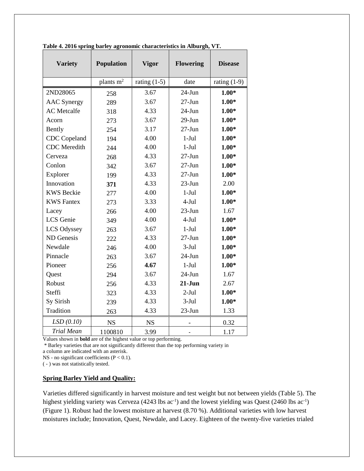| <b>Variety</b>      | Population<br><b>Vigor</b> |                | <b>Flowering</b> | <b>Disease</b> |
|---------------------|----------------------------|----------------|------------------|----------------|
|                     | plants m <sup>2</sup>      | rating $(1-5)$ | date             | rating $(1-9)$ |
| 2ND28065            | 258                        | 3.67           | $24$ -Jun        | $1.00*$        |
| <b>AAC</b> Synergy  | 289                        | 3.67           | $27 - Jun$       | $1.00*$        |
| <b>AC</b> Metcalfe  | 318                        | 4.33           | $24-Jun$         | $1.00*$        |
| Acorn               | 273                        | 3.67           | $29-Jun$         | $1.00*$        |
| Bently              | 254                        | 3.17           | $27 - Jun$       | $1.00*$        |
| CDC Copeland        | 194                        | 4.00           | $1-Jul$          | $1.00*$        |
| <b>CDC</b> Meredith | 244                        | 4.00           | $1-Jul$          | $1.00*$        |
| Cerveza             | 268                        | 4.33           | $27 - Jun$       | $1.00*$        |
| Conlon              | 342                        | 3.67           | $27 - Jun$       | $1.00*$        |
| Explorer            | 199                        | 4.33           | $27 - Jun$       | $1.00*$        |
| Innovation          | 371                        | 4.33           | $23-Jun$         | 2.00           |
| <b>KWS</b> Beckie   | 277                        | 4.00           | $1-Jul$          | $1.00*$        |
| <b>KWS</b> Fantex   | 273                        | 3.33           | $4-Jul$          | $1.00*$        |
| Lacey               | 266                        | 4.00           | $23$ -Jun        | 1.67           |
| LCS Genie           | 349                        | 4.00           | $4-Jul$          | $1.00*$        |
| LCS Odyssey         | 263                        | 3.67           | $1-Jul$          | $1.00*$        |
| ND Genesis          | 222                        | 4.33           | $27 - Jun$       | $1.00*$        |
| Newdale             | 246                        | 4.00           | $3-Jul$          | $1.00*$        |
| Pinnacle            | 263                        | 3.67           | $24$ -Jun        | $1.00*$        |
| Pioneer             | 256                        | 4.67           | $1-Jul$          | $1.00*$        |
| Quest               | 294                        | 3.67           | $24$ -Jun        | 1.67           |
| Robust              | 256                        | 4.33           | $21-J$ un        | 2.67           |
| Steffi              | 323                        | 4.33           | $2-Jul$          | $1.00*$        |
| Sy Sirish           | 239                        | 4.33           | $3-Jul$          | $1.00*$        |
| Tradition           | 263                        | 4.33           | $23$ -Jun        | 1.33           |
| LSD(0.10)           | <b>NS</b>                  | <b>NS</b>      |                  | 0.32           |
| <b>Trial Mean</b>   | 1100810                    | 3.99           |                  | 1.17           |

**Table 4. 2016 spring barley agronomic characteristics in Alburgh, VT.**

Values shown in **bold** are of the highest value or top performing.

\* Barley varieties that are not significantly different than the top performing variety in

a column are indicated with an asterisk.

NS - no significant coefficients  $(P < 0.1)$ .

( - ) was not statistically tested.

#### **Spring Barley Yield and Quality:**

Varieties differed significantly in harvest moisture and test weight but not between yields (Table 5). The highest yielding variety was Cerveza (4243 lbs ac<sup>-1</sup>) and the lowest yielding was Quest (2460 lbs ac<sup>-1</sup>) (Figure 1). Robust had the lowest moisture at harvest (8.70 %). Additional varieties with low harvest moistures include; Innovation, Quest, Newdale, and Lacey. Eighteen of the twenty-five varieties trialed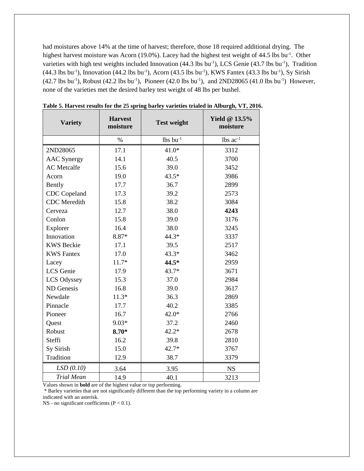had moistures above 14% at the time of harvest; therefore, those 18 required additional drying. The highest harvest moisture was Acorn (19.0%). Lacey had the highest test weight of 44.5 lbs bu<sup>-1</sup>. Other varieties with high test weights included Innovation  $(44.3 \text{ lbs} \text{ bu}^{-1})$ , LCS Genie  $(43.7 \text{ lbs} \text{ bu}^{-1})$ , Tradition  $(44.3 \text{ lbs bu}^{-1})$ , Innovation  $(44.2 \text{ lbs bu}^{-1})$ , Acorn  $(43.5 \text{ lbs bu}^{-1})$ , KWS Fantex  $(43.3 \text{ lbs bu}^{-1})$ , Sy Sirish  $(42.7 \text{ lbs bu}^{-1})$ , Robust  $(42.2 \text{ lbs bu}^{-1})$ , Pioneer  $(42.0 \text{ lbs bu}^{-1})$ , and  $2ND28065 (41.0 \text{ lbs bu}^{-1})$  However, none of the varieties met the desired barley test weight of 48 lbs per bushel.

| <b>Variety</b>      | <b>Harvest</b><br>moisture | <b>Test weight</b> | <b>Yield @ 13.5%</b><br>moisture |
|---------------------|----------------------------|--------------------|----------------------------------|
|                     | $\%$                       | $lbs$ bu $^{-1}$   | $lbs$ $ac^{-1}$                  |
| 2ND28065            | 17.1                       | $41.0*$            | 3312                             |
| <b>AAC</b> Synergy  | 14.1                       | 40.5               | 3700                             |
| <b>AC</b> Metcalfe  | 15.6                       | 39.0               | 3452                             |
| Acorn               | 19.0                       | $43.5*$            | 3986                             |
| Bently              | 17.7                       | 36.7               | 2899                             |
| <b>CDC</b> Copeland | 17.3                       | 39.2               | 2573                             |
| <b>CDC</b> Meredith | 15.8                       | 38.2               | 3084                             |
| Cerveza             | 12.7                       | 38.0               | 4243                             |
| Conlon              | 15.8                       | 39.0               | 3176                             |
| Explorer            | 16.4                       | 38.0               | 3245                             |
| Innovation          | 8.87*                      | 44.3*              | 3337                             |
| <b>KWS</b> Beckie   | 17.1                       | 39.5               | 2517                             |
| <b>KWS Fantex</b>   | 17.0                       | $43.3*$            | 3462                             |
| Lacey               | $11.7*$                    | 44.5*              | 2959                             |
| LCS Genie           | 17.9                       | $43.7*$            | 3671                             |
| LCS Odyssey         | 15.3                       | 37.0               | 2984                             |
| ND Genesis          | 16.8                       | 39.0               | 3617                             |
| Newdale             | $11.3*$                    | 36.3               | 2869                             |
| Pinnacle            | 17.7                       | 40.2               | 3385                             |
| Pioneer             | 16.7                       | $42.0*$            | 2766                             |
| Quest               | $9.03*$                    | 37.2               | 2460                             |
| Robust              | $8.70*$                    | $42.2*$            | 2678                             |
| Steffi              | 16.2                       | 39.8               | 2810                             |
| Sy Sirish           | 15.0                       | $42.7*$            | 3767                             |
| Tradition           | 12.9                       | 38.7               | 3379                             |
| LSD(0.10)           | 3.64                       | 3.95               | <b>NS</b>                        |
| <b>Trial Mean</b>   | 14.9                       | 40.1               | 3213                             |

**Table 5. Harvest results for the 25 spring barley varieties trialed in Alburgh, VT, 2016.**

Values shown in **bold** are of the highest value or top performing.

\* Barley varieties that are not significantly different than the top performing variety in a column are indicated with an asterisk.

NS - no significant coefficients  $(P < 0.1)$ .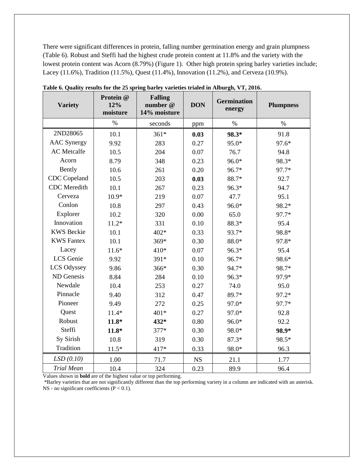There were significant differences in protein, falling number germination energy and grain plumpness (Table 6). Robust and Steffi had the highest crude protein content at 11.8% and the variety with the lowest protein content was Acorn (8.79%) (Figure 1). Other high protein spring barley varieties include; Lacey (11.6%), Tradition (11.5%), Quest (11.4%), Innovation (11.2%), and Cerveza (10.9%).

| <b>Variety</b>      | Protein @<br>12%<br>moisture | <b>Falling</b><br><b>DON</b><br>number @<br>14% moisture |           | <b>Germination</b><br>energy | <b>Plumpness</b> |
|---------------------|------------------------------|----------------------------------------------------------|-----------|------------------------------|------------------|
|                     | $\%$                         | seconds                                                  | ppm       | $\%$                         | $\%$             |
| 2ND28065            | 10.1                         | $361*$                                                   | 0.03      | 98.3*                        | 91.8             |
| <b>AAC</b> Synergy  | 9.92                         | 283                                                      | 0.27      | 95.0*                        | 97.6*            |
| <b>AC</b> Metcalfe  | 10.5                         | 204                                                      | 0.07      | 76.7                         | 94.8             |
| Acorn               | 8.79                         | 348                                                      | 0.23      | 96.0*                        | 98.3*            |
| Bently              | 10.6                         | 261                                                      | 0.20      | 96.7*                        | 97.7*            |
| <b>CDC</b> Copeland | 10.5                         | 203                                                      | 0.03      | 88.7*                        | 92.7             |
| <b>CDC</b> Meredith | 10.1                         | 267                                                      | 0.23      | 96.3*                        | 94.7             |
| Cerveza             | $10.9*$                      | 219                                                      | 0.07      | 47.7                         | 95.1             |
| Conlon              | 10.8                         | 297                                                      | 0.43      | 96.0*                        | 98.2*            |
| Explorer            | 10.2                         | 320                                                      | 0.00      | 65.0                         | 97.7*            |
| Innovation          | $11.2*$                      | 331                                                      | 0.10      | 88.3*                        | 95.4             |
| <b>KWS</b> Beckie   | 10.1                         | 402*                                                     | 0.33      | 93.7*                        | 98.8*            |
| <b>KWS Fantex</b>   | 10.1                         | 369*                                                     | 0.30      | 88.0*                        | 97.8*            |
| Lacey               | $11.6*$                      | 410*                                                     | 0.07      | 96.3*                        | 95.4             |
| LCS Genie           | 9.92                         | 391*                                                     | 0.10      | 96.7*                        | 98.6*            |
| LCS Odyssey         | 9.86                         | 366*                                                     | 0.30      | 94.7*                        | 98.7*            |
| ND Genesis          | 8.84                         | 284                                                      | 0.10      | 96.3*                        | 97.9*            |
| Newdale             | 10.4                         | 253                                                      | 0.27      | 74.0                         | 95.0             |
| Pinnacle            | 9.40                         | 312                                                      | 0.47      | 89.7*                        | 97.2*            |
| Pioneer             | 9.49                         | 272                                                      | 0.25      | 97.0*                        | 97.7*            |
| Quest               | $11.4*$                      | 401*                                                     | 0.27      | 97.0*                        | 92.8             |
| Robust              | $11.8*$                      | 432*                                                     | 0.80      | 96.0*                        | 92.2             |
| Steffi              | $11.8*$                      | 377*                                                     | 0.30      | 98.0*                        | 98.9*            |
| Sy Sirish           | 10.8                         | 319                                                      | 0.30      | $87.3*$                      | 98.5*            |
| Tradition           | $11.5*$                      | 417*                                                     | 0.33      | 98.0*                        | 96.3             |
| LSD(0.10)           | 1.00                         | 71.7                                                     | <b>NS</b> | 21.1                         | 1.77             |
| <b>Trial Mean</b>   | 10.4                         | 324                                                      | 0.23      | 89.9                         | 96.4             |

**Table 6. Quality results for the 25 spring barley varieties trialed in Alburgh, VT, 2016.**

Values shown in **bold** are of the highest value or top performing.

\*Barley varieties that are not significantly different than the top performing variety in a column are indicated with an asterisk. NS - no significant coefficients (P < 0.1).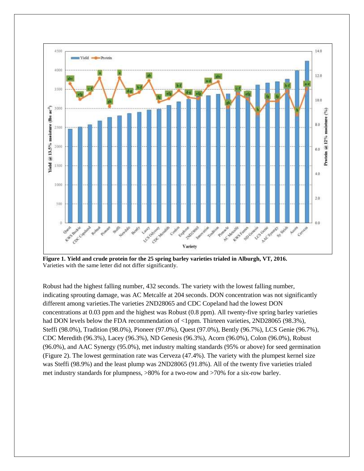

**Figure 1. Yield and crude protein for the 25 spring barley varieties trialed in Alburgh, VT, 2016.** Varieties with the same letter did not differ significantly.

Robust had the highest falling number, 432 seconds. The variety with the lowest falling number, indicating sprouting damage, was AC Metcalfe at 204 seconds. DON concentration was not significantly different among varieties.The varieties 2ND28065 and CDC Copeland had the lowest DON concentrations at 0.03 ppm and the highest was Robust (0.8 ppm). All twenty-five spring barley varieties had DON levels below the FDA recommendation of <1ppm. Thirteen varieties, 2ND28065 (98.3%), Steffi (98.0%), Tradition (98.0%), Pioneer (97.0%), Quest (97.0%), Bently (96.7%), LCS Genie (96.7%), CDC Meredith (96.3%), Lacey (96.3%), ND Genesis (96.3%), Acorn (96.0%), Colon (96.0%), Robust (96.0%), and AAC Synergy (95.0%), met industry malting standards (95% or above) for seed germination (Figure 2). The lowest germination rate was Cerveza (47.4%). The variety with the plumpest kernel size was Steffi (98.9%) and the least plump was 2ND28065 (91.8%). All of the twenty five varieties trialed met industry standards for plumpness, >80% for a two-row and >70% for a six-row barley.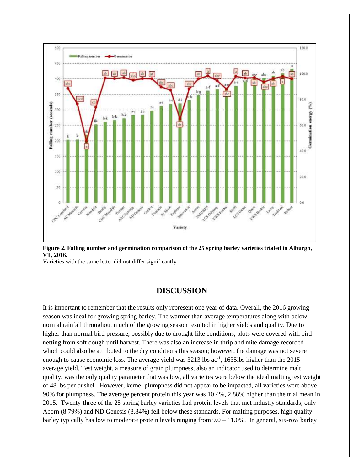

**Figure 2. Falling number and germination comparison of the 25 spring barley varieties trialed in Alburgh, VT, 2016.**

Varieties with the same letter did not differ significantly.

#### **DISCUSSION**

It is important to remember that the results only represent one year of data. Overall, the 2016 growing season was ideal for growing spring barley. The warmer than average temperatures along with below normal rainfall throughout much of the growing season resulted in higher yields and quality. Due to higher than normal bird pressure, possibly due to drought-like conditions, plots were covered with bird netting from soft dough until harvest. There was also an increase in thrip and mite damage recorded which could also be attributed to the dry conditions this season; however, the damage was not severe enough to cause economic loss. The average yield was 3213 lbs ac<sup>-1</sup>, 1635lbs higher than the 2015 average yield. Test weight, a measure of grain plumpness, also an indicator used to determine malt quality, was the only quality parameter that was low, all varieties were below the ideal malting test weight of 48 lbs per bushel. However, kernel plumpness did not appear to be impacted, all varieties were above 90% for plumpness. The average percent protein this year was 10.4%, 2.88% higher than the trial mean in 2015. Twenty-three of the 25 spring barley varieties had protein levels that met industry standards, only Acorn (8.79%) and ND Genesis (8.84%) fell below these standards. For malting purposes, high quality barley typically has low to moderate protein levels ranging from  $9.0 - 11.0\%$ . In general, six-row barley